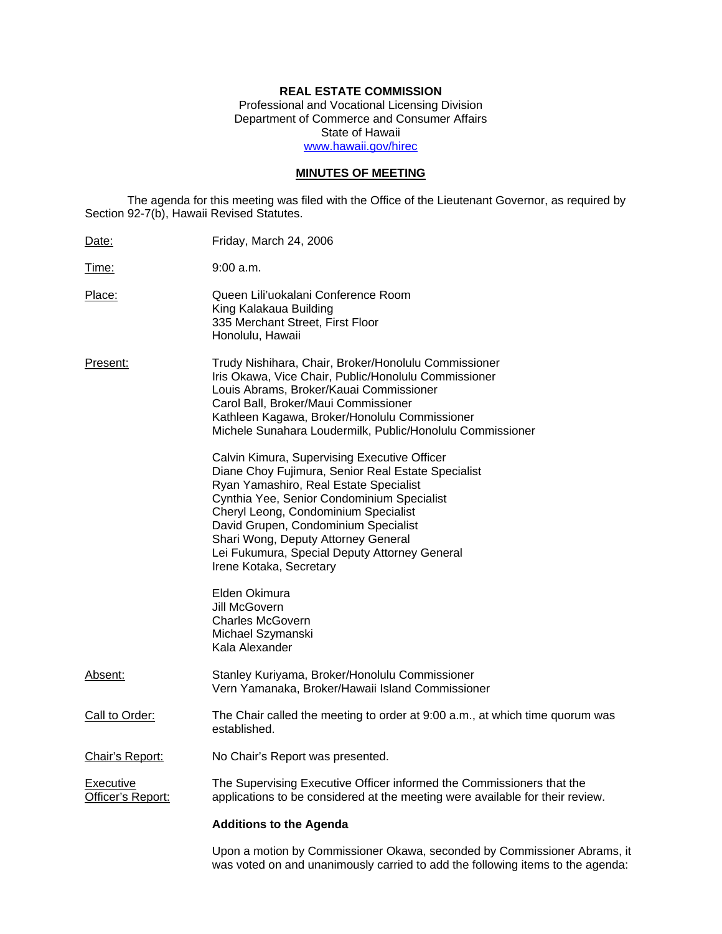# **REAL ESTATE COMMISSION**

Professional and Vocational Licensing Division Department of Commerce and Consumer Affairs State of Hawaii www.hawaii.gov/hirec

# **MINUTES OF MEETING**

The agenda for this meeting was filed with the Office of the Lieutenant Governor, as required by Section 92-7(b), Hawaii Revised Statutes.

| Date:                          | Friday, March 24, 2006                                                                                                                                                                                                                                                                                                                                                                        |
|--------------------------------|-----------------------------------------------------------------------------------------------------------------------------------------------------------------------------------------------------------------------------------------------------------------------------------------------------------------------------------------------------------------------------------------------|
| Time:                          | 9:00 a.m.                                                                                                                                                                                                                                                                                                                                                                                     |
| Place:                         | Queen Lili'uokalani Conference Room<br>King Kalakaua Building<br>335 Merchant Street, First Floor<br>Honolulu, Hawaii                                                                                                                                                                                                                                                                         |
| Present:                       | Trudy Nishihara, Chair, Broker/Honolulu Commissioner<br>Iris Okawa, Vice Chair, Public/Honolulu Commissioner<br>Louis Abrams, Broker/Kauai Commissioner<br>Carol Ball, Broker/Maui Commissioner<br>Kathleen Kagawa, Broker/Honolulu Commissioner<br>Michele Sunahara Loudermilk, Public/Honolulu Commissioner                                                                                 |
|                                | Calvin Kimura, Supervising Executive Officer<br>Diane Choy Fujimura, Senior Real Estate Specialist<br>Ryan Yamashiro, Real Estate Specialist<br>Cynthia Yee, Senior Condominium Specialist<br>Cheryl Leong, Condominium Specialist<br>David Grupen, Condominium Specialist<br>Shari Wong, Deputy Attorney General<br>Lei Fukumura, Special Deputy Attorney General<br>Irene Kotaka, Secretary |
|                                | Elden Okimura<br>Jill McGovern<br><b>Charles McGovern</b><br>Michael Szymanski<br>Kala Alexander                                                                                                                                                                                                                                                                                              |
| Absent:                        | Stanley Kuriyama, Broker/Honolulu Commissioner<br>Vern Yamanaka, Broker/Hawaii Island Commissioner                                                                                                                                                                                                                                                                                            |
| Call to Order:                 | The Chair called the meeting to order at 9:00 a.m., at which time quorum was<br>established.                                                                                                                                                                                                                                                                                                  |
| Chair's Report:                | No Chair's Report was presented.                                                                                                                                                                                                                                                                                                                                                              |
| Executive<br>Officer's Report: | The Supervising Executive Officer informed the Commissioners that the<br>applications to be considered at the meeting were available for their review.                                                                                                                                                                                                                                        |
|                                | <b>Additions to the Agenda</b>                                                                                                                                                                                                                                                                                                                                                                |
|                                |                                                                                                                                                                                                                                                                                                                                                                                               |

Upon a motion by Commissioner Okawa, seconded by Commissioner Abrams, it was voted on and unanimously carried to add the following items to the agenda: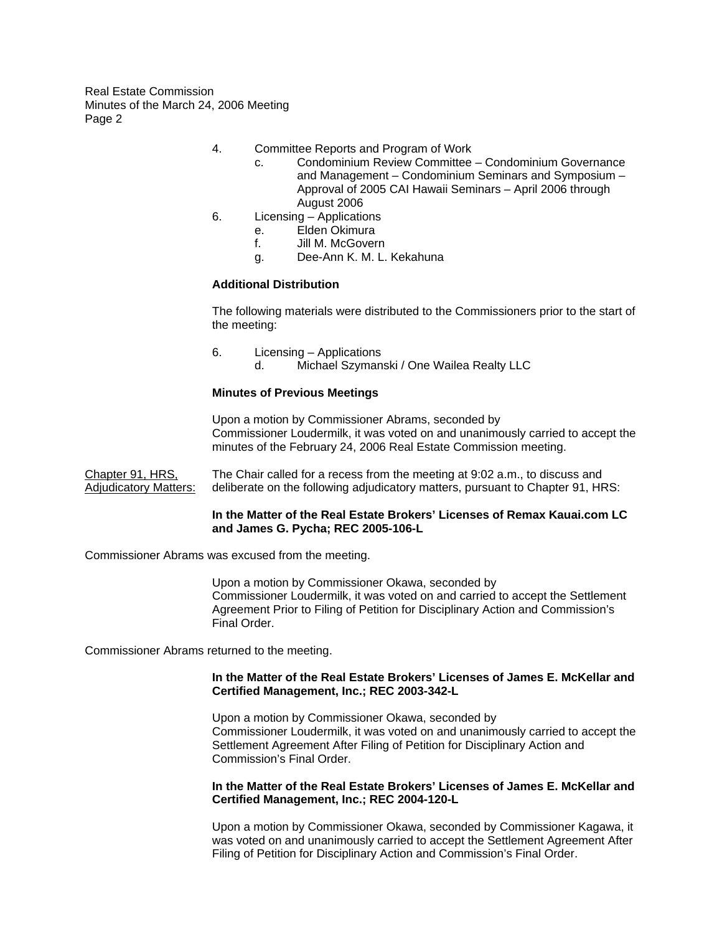- 4. Committee Reports and Program of Work
	- c. Condominium Review Committee Condominium Governance and Management – Condominium Seminars and Symposium – Approval of 2005 CAI Hawaii Seminars – April 2006 through August 2006
- 6. Licensing Applications
	- e. Elden Okimura
	- f. Jill M. McGovern
	- g. Dee-Ann K. M. L. Kekahuna

### **Additional Distribution**

The following materials were distributed to the Commissioners prior to the start of the meeting:

6. Licensing – Applications d. Michael Szymanski / One Wailea Realty LLC

### **Minutes of Previous Meetings**

Upon a motion by Commissioner Abrams, seconded by Commissioner Loudermilk, it was voted on and unanimously carried to accept the minutes of the February 24, 2006 Real Estate Commission meeting.

Chapter 91, HRS, The Chair called for a recess from the meeting at 9:02 a.m., to discuss and Adjudicatory Matters: deliberate on the following adjudicatory matters, pursuant to Chapter 91, HRS:

### **In the Matter of the Real Estate Brokers' Licenses of Remax Kauai.com LC and James G. Pycha; REC 2005-106-L**

Commissioner Abrams was excused from the meeting.

Upon a motion by Commissioner Okawa, seconded by Commissioner Loudermilk, it was voted on and carried to accept the Settlement Agreement Prior to Filing of Petition for Disciplinary Action and Commission's Final Order.

Commissioner Abrams returned to the meeting.

#### **In the Matter of the Real Estate Brokers' Licenses of James E. McKellar and Certified Management, Inc.; REC 2003-342-L**

Upon a motion by Commissioner Okawa, seconded by Commissioner Loudermilk, it was voted on and unanimously carried to accept the Settlement Agreement After Filing of Petition for Disciplinary Action and Commission's Final Order.

# **In the Matter of the Real Estate Brokers' Licenses of James E. McKellar and Certified Management, Inc.; REC 2004-120-L**

Upon a motion by Commissioner Okawa, seconded by Commissioner Kagawa, it was voted on and unanimously carried to accept the Settlement Agreement After Filing of Petition for Disciplinary Action and Commission's Final Order.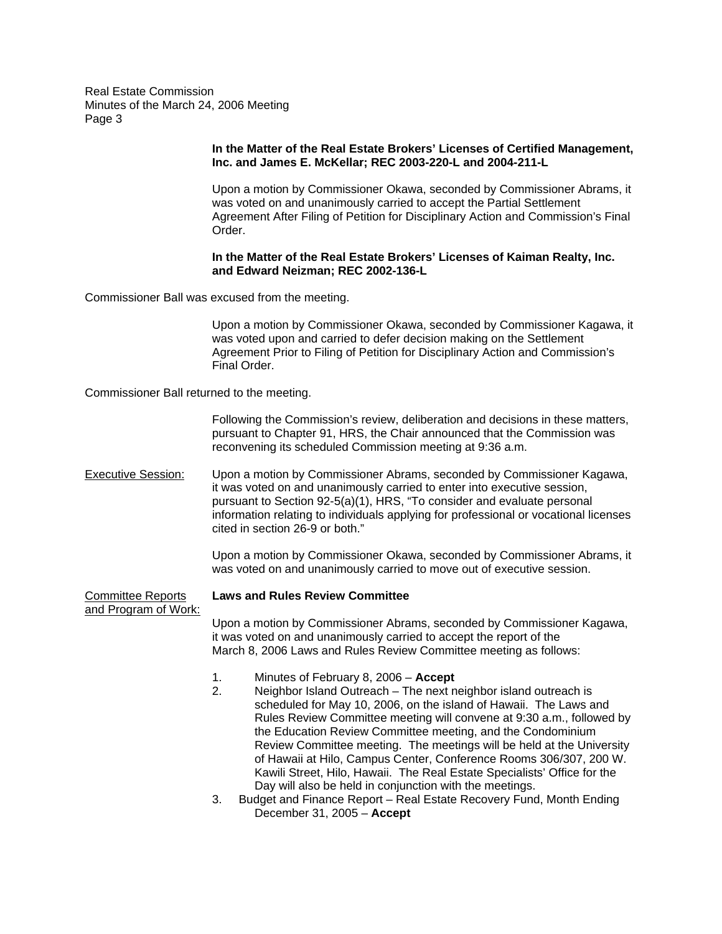## **In the Matter of the Real Estate Brokers' Licenses of Certified Management, Inc. and James E. McKellar; REC 2003-220-L and 2004-211-L**

Upon a motion by Commissioner Okawa, seconded by Commissioner Abrams, it was voted on and unanimously carried to accept the Partial Settlement Agreement After Filing of Petition for Disciplinary Action and Commission's Final Order.

## **In the Matter of the Real Estate Brokers' Licenses of Kaiman Realty, Inc. and Edward Neizman; REC 2002-136-L**

Commissioner Ball was excused from the meeting.

Upon a motion by Commissioner Okawa, seconded by Commissioner Kagawa, it was voted upon and carried to defer decision making on the Settlement Agreement Prior to Filing of Petition for Disciplinary Action and Commission's Final Order.

Commissioner Ball returned to the meeting.

Following the Commission's review, deliberation and decisions in these matters, pursuant to Chapter 91, HRS, the Chair announced that the Commission was reconvening its scheduled Commission meeting at 9:36 a.m.

Executive Session: Upon a motion by Commissioner Abrams, seconded by Commissioner Kagawa, it was voted on and unanimously carried to enter into executive session, pursuant to Section 92-5(a)(1), HRS, "To consider and evaluate personal information relating to individuals applying for professional or vocational licenses cited in section 26-9 or both."

> Upon a motion by Commissioner Okawa, seconded by Commissioner Abrams, it was voted on and unanimously carried to move out of executive session.

and Program of Work:

# Committee Reports **Laws and Rules Review Committee**

Upon a motion by Commissioner Abrams, seconded by Commissioner Kagawa, it was voted on and unanimously carried to accept the report of the March 8, 2006 Laws and Rules Review Committee meeting as follows:

- 1. Minutes of February 8, 2006 **Accept**
- 2. Neighbor Island Outreach The next neighbor island outreach is scheduled for May 10, 2006, on the island of Hawaii. The Laws and Rules Review Committee meeting will convene at 9:30 a.m., followed by the Education Review Committee meeting, and the Condominium Review Committee meeting. The meetings will be held at the University of Hawaii at Hilo, Campus Center, Conference Rooms 306/307, 200 W. Kawili Street, Hilo, Hawaii. The Real Estate Specialists' Office for the Day will also be held in conjunction with the meetings.
- 3. Budget and Finance Report Real Estate Recovery Fund, Month Ending December 31, 2005 – **Accept**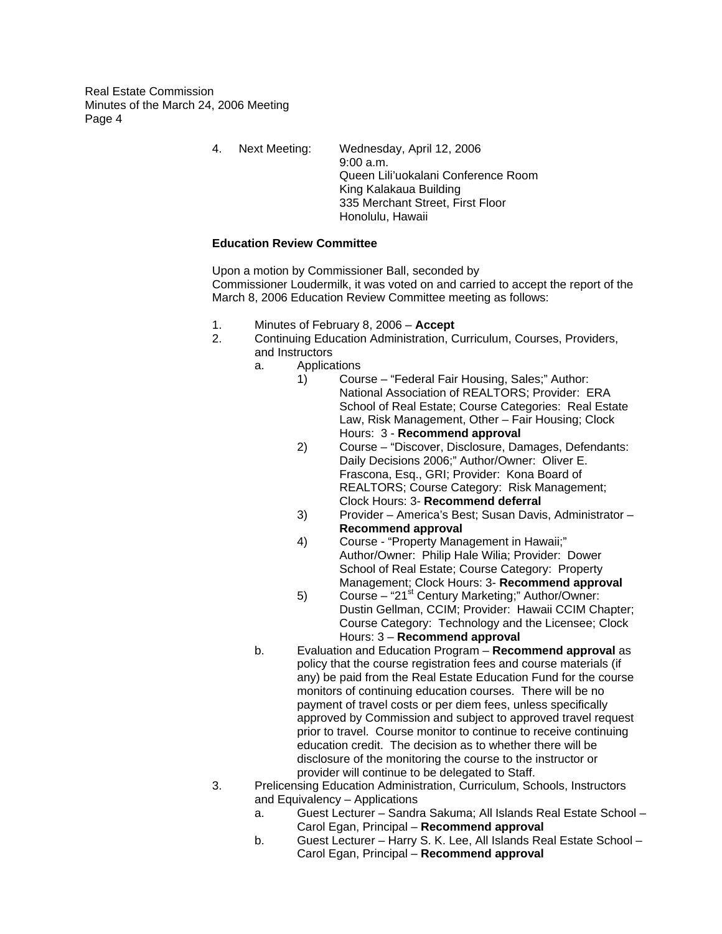> 4. Next Meeting: Wednesday, April 12, 2006 9:00 a.m. Queen Lili'uokalani Conference Room King Kalakaua Building 335 Merchant Street, First Floor Honolulu, Hawaii

# **Education Review Committee**

Upon a motion by Commissioner Ball, seconded by Commissioner Loudermilk, it was voted on and carried to accept the report of the March 8, 2006 Education Review Committee meeting as follows:

- 1. Minutes of February 8, 2006 **Accept**
- 2. Continuing Education Administration, Curriculum, Courses, Providers, and Instructors
	- a. Applications
		- 1) Course "Federal Fair Housing, Sales;" Author: National Association of REALTORS; Provider: ERA School of Real Estate; Course Categories: Real Estate Law, Risk Management, Other – Fair Housing; Clock Hours: 3 - **Recommend approval**
		- 2) Course "Discover, Disclosure, Damages, Defendants: Daily Decisions 2006;" Author/Owner: Oliver E. Frascona, Esq., GRI; Provider: Kona Board of REALTORS; Course Category: Risk Management; Clock Hours: 3- **Recommend deferral**
		- 3) Provider America's Best; Susan Davis, Administrator **Recommend approval**
		- 4) Course "Property Management in Hawaii;" Author/Owner: Philip Hale Wilia; Provider: Dower School of Real Estate; Course Category: Property Management; Clock Hours: 3- **Recommend approval**
		- 5) Course "21<sup>st</sup> Century Marketing;" Author/Owner: Dustin Gellman, CCIM; Provider: Hawaii CCIM Chapter; Course Category: Technology and the Licensee; Clock Hours: 3 – **Recommend approval**
	- b. Evaluation and Education Program **Recommend approval** as policy that the course registration fees and course materials (if any) be paid from the Real Estate Education Fund for the course monitors of continuing education courses. There will be no payment of travel costs or per diem fees, unless specifically approved by Commission and subject to approved travel request prior to travel. Course monitor to continue to receive continuing education credit. The decision as to whether there will be disclosure of the monitoring the course to the instructor or provider will continue to be delegated to Staff.
- 3. Prelicensing Education Administration, Curriculum, Schools, Instructors and Equivalency – Applications
	- a. Guest Lecturer Sandra Sakuma; All Islands Real Estate School Carol Egan, Principal – **Recommend approval**
	- b. Guest Lecturer Harry S. K. Lee, All Islands Real Estate School Carol Egan, Principal – **Recommend approval**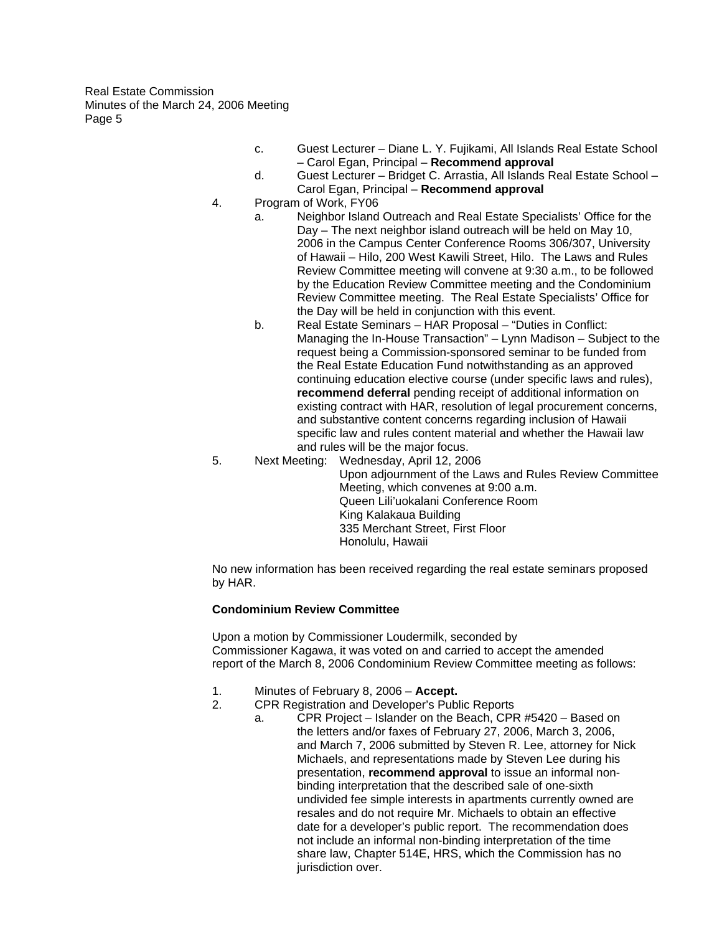- c. Guest Lecturer Diane L. Y. Fujikami, All Islands Real Estate School – Carol Egan, Principal – **Recommend approval**
- d. Guest Lecturer Bridget C. Arrastia, All Islands Real Estate School Carol Egan, Principal – **Recommend approval**
- 4. Program of Work, FY06
	- a. Neighbor Island Outreach and Real Estate Specialists' Office for the Day – The next neighbor island outreach will be held on May 10, 2006 in the Campus Center Conference Rooms 306/307, University of Hawaii – Hilo, 200 West Kawili Street, Hilo. The Laws and Rules Review Committee meeting will convene at 9:30 a.m., to be followed by the Education Review Committee meeting and the Condominium Review Committee meeting. The Real Estate Specialists' Office for the Day will be held in conjunction with this event.
	- b. Real Estate Seminars HAR Proposal "Duties in Conflict: Managing the In-House Transaction" – Lynn Madison – Subject to the request being a Commission-sponsored seminar to be funded from the Real Estate Education Fund notwithstanding as an approved continuing education elective course (under specific laws and rules), **recommend deferral** pending receipt of additional information on existing contract with HAR, resolution of legal procurement concerns, and substantive content concerns regarding inclusion of Hawaii specific law and rules content material and whether the Hawaii law and rules will be the major focus.
- 5. Next Meeting: Wednesday, April 12, 2006

Upon adjournment of the Laws and Rules Review Committee Meeting, which convenes at 9:00 a.m. Queen Lili'uokalani Conference Room King Kalakaua Building 335 Merchant Street, First Floor Honolulu, Hawaii

No new information has been received regarding the real estate seminars proposed by HAR.

# **Condominium Review Committee**

Upon a motion by Commissioner Loudermilk, seconded by Commissioner Kagawa, it was voted on and carried to accept the amended report of the March 8, 2006 Condominium Review Committee meeting as follows:

- 1. Minutes of February 8, 2006 **Accept.**
- 2. CPR Registration and Developer's Public Reports
	- a. CPR Project Islander on the Beach, CPR #5420 Based on the letters and/or faxes of February 27, 2006, March 3, 2006, and March 7, 2006 submitted by Steven R. Lee, attorney for Nick Michaels, and representations made by Steven Lee during his presentation, **recommend approval** to issue an informal nonbinding interpretation that the described sale of one-sixth undivided fee simple interests in apartments currently owned are resales and do not require Mr. Michaels to obtain an effective date for a developer's public report. The recommendation does not include an informal non-binding interpretation of the time share law, Chapter 514E, HRS, which the Commission has no jurisdiction over.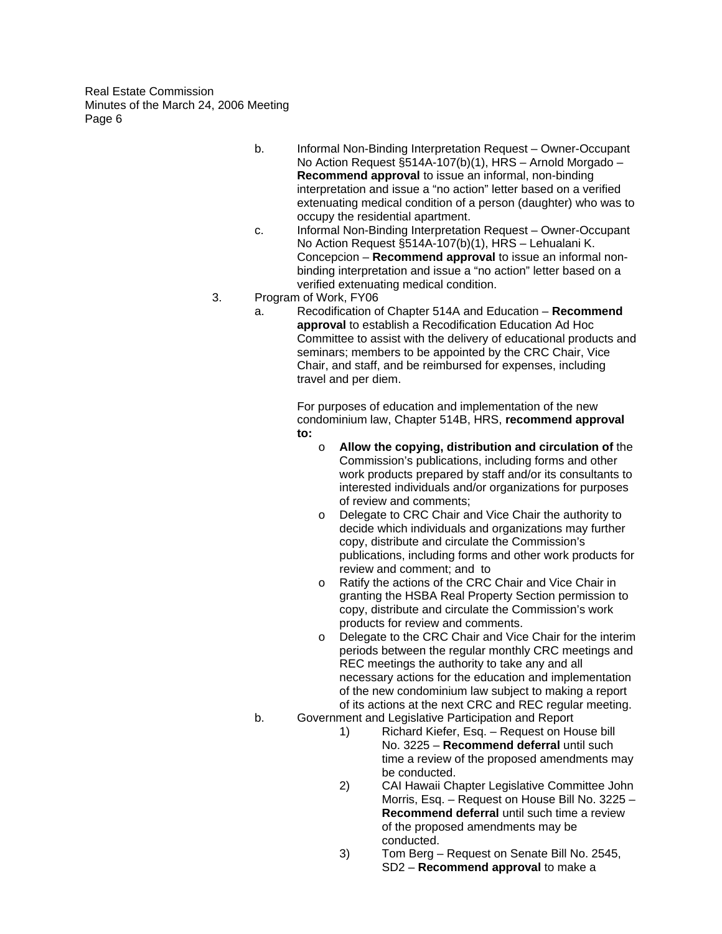- b. Informal Non-Binding Interpretation Request Owner-Occupant No Action Request §514A-107(b)(1), HRS – Arnold Morgado – **Recommend approval** to issue an informal, non-binding interpretation and issue a "no action" letter based on a verified extenuating medical condition of a person (daughter) who was to occupy the residential apartment.
- c. Informal Non-Binding Interpretation Request Owner-Occupant No Action Request §514A-107(b)(1), HRS – Lehualani K. Concepcion – **Recommend approval** to issue an informal nonbinding interpretation and issue a "no action" letter based on a verified extenuating medical condition.
- 3. Program of Work, FY06
	- a. Recodification of Chapter 514A and Education **Recommend approval** to establish a Recodification Education Ad Hoc Committee to assist with the delivery of educational products and seminars; members to be appointed by the CRC Chair, Vice Chair, and staff, and be reimbursed for expenses, including travel and per diem.

For purposes of education and implementation of the new condominium law, Chapter 514B, HRS, **recommend approval to:** 

- o **Allow the copying, distribution and circulation of** the Commission's publications, including forms and other work products prepared by staff and/or its consultants to interested individuals and/or organizations for purposes of review and comments;
- o Delegate to CRC Chair and Vice Chair the authority to decide which individuals and organizations may further copy, distribute and circulate the Commission's publications, including forms and other work products for review and comment; and to
- o Ratify the actions of the CRC Chair and Vice Chair in granting the HSBA Real Property Section permission to copy, distribute and circulate the Commission's work products for review and comments.
- o Delegate to the CRC Chair and Vice Chair for the interim periods between the regular monthly CRC meetings and REC meetings the authority to take any and all necessary actions for the education and implementation of the new condominium law subject to making a report of its actions at the next CRC and REC regular meeting.
- b. Government and Legislative Participation and Report
	- 1) Richard Kiefer, Esq. Request on House bill No. 3225 – **Recommend deferral** until such time a review of the proposed amendments may be conducted.
	- 2) CAI Hawaii Chapter Legislative Committee John Morris, Esq. – Request on House Bill No. 3225 – **Recommend deferral** until such time a review of the proposed amendments may be conducted.
	- 3) Tom Berg Request on Senate Bill No. 2545, SD2 – **Recommend approval** to make a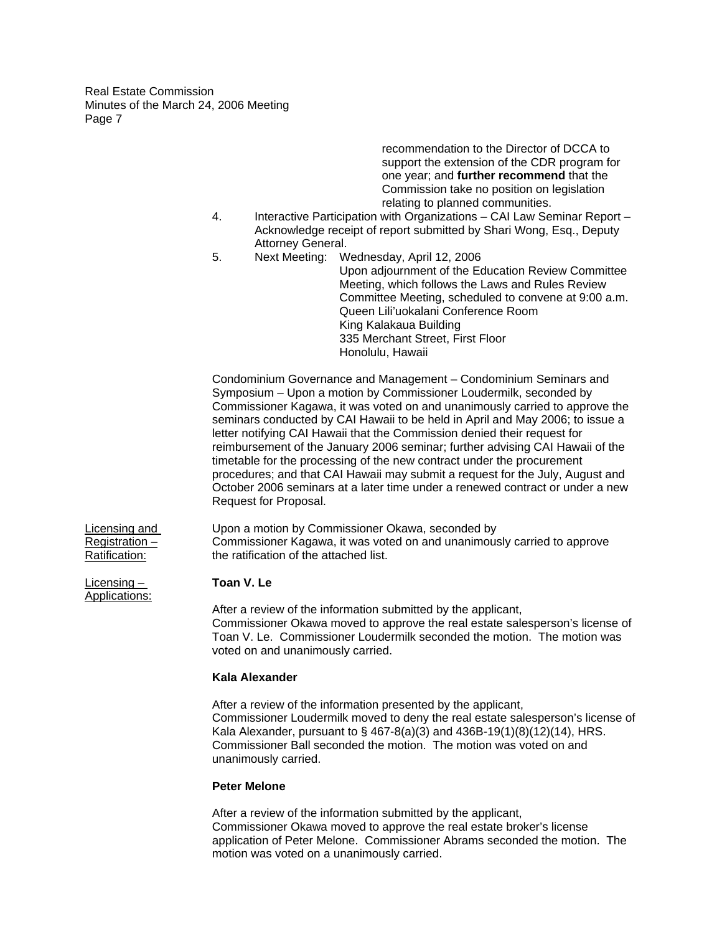> recommendation to the Director of DCCA to support the extension of the CDR program for one year; and **further recommend** that the Commission take no position on legislation relating to planned communities.

- 4. Interactive Participation with Organizations CAI Law Seminar Report Acknowledge receipt of report submitted by Shari Wong, Esq., Deputy Attorney General.
- 5. Next Meeting: Wednesday, April 12, 2006 Upon adjournment of the Education Review Committee Meeting, which follows the Laws and Rules Review Committee Meeting, scheduled to convene at 9:00 a.m. Queen Lili'uokalani Conference Room King Kalakaua Building 335 Merchant Street, First Floor Honolulu, Hawaii

Condominium Governance and Management – Condominium Seminars and Symposium – Upon a motion by Commissioner Loudermilk, seconded by Commissioner Kagawa, it was voted on and unanimously carried to approve the seminars conducted by CAI Hawaii to be held in April and May 2006; to issue a letter notifying CAI Hawaii that the Commission denied their request for reimbursement of the January 2006 seminar; further advising CAI Hawaii of the timetable for the processing of the new contract under the procurement procedures; and that CAI Hawaii may submit a request for the July, August and October 2006 seminars at a later time under a renewed contract or under a new Request for Proposal.

Licensing and Upon a motion by Commissioner Okawa, seconded by Registration – Commissioner Kagawa, it was voted on and unanimously carried to approve Ratification: the ratification of the attached list.

After a review of the information submitted by the applicant, Commissioner Okawa moved to approve the real estate salesperson's license of Toan V. Le. Commissioner Loudermilk seconded the motion. The motion was voted on and unanimously carried.

#### **Kala Alexander**

After a review of the information presented by the applicant, Commissioner Loudermilk moved to deny the real estate salesperson's license of Kala Alexander, pursuant to § 467-8(a)(3) and 436B-19(1)(8)(12)(14), HRS. Commissioner Ball seconded the motion. The motion was voted on and unanimously carried.

#### **Peter Melone**

After a review of the information submitted by the applicant, Commissioner Okawa moved to approve the real estate broker's license application of Peter Melone. Commissioner Abrams seconded the motion. The motion was voted on a unanimously carried.

Licensing – **Toan V. Le**  Applications: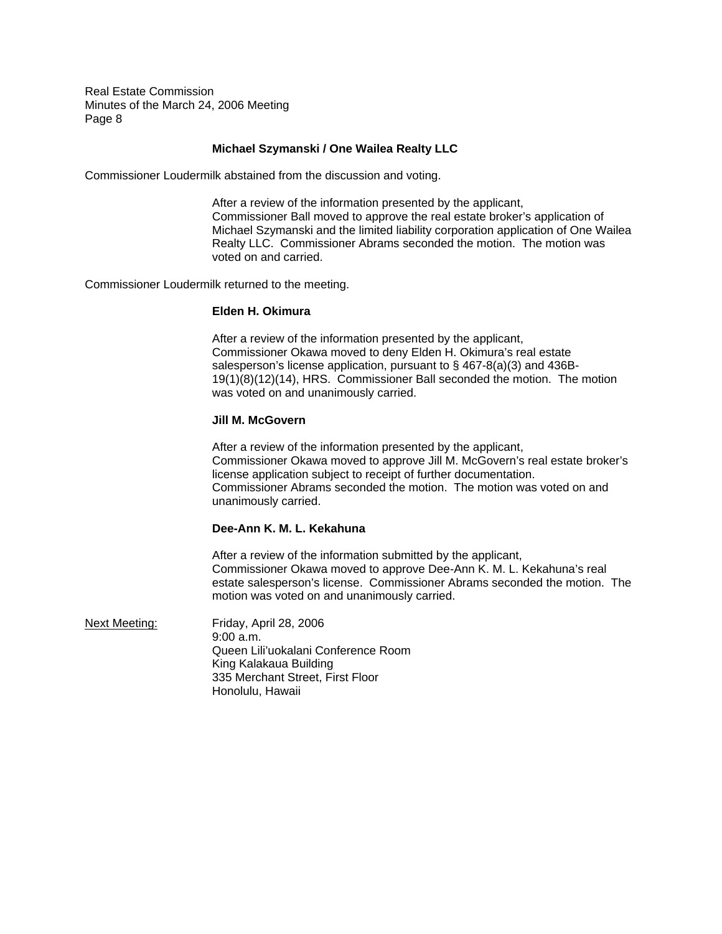## **Michael Szymanski / One Wailea Realty LLC**

Commissioner Loudermilk abstained from the discussion and voting.

After a review of the information presented by the applicant, Commissioner Ball moved to approve the real estate broker's application of Michael Szymanski and the limited liability corporation application of One Wailea Realty LLC. Commissioner Abrams seconded the motion. The motion was voted on and carried.

Commissioner Loudermilk returned to the meeting.

#### **Elden H. Okimura**

After a review of the information presented by the applicant, Commissioner Okawa moved to deny Elden H. Okimura's real estate salesperson's license application, pursuant to § 467-8(a)(3) and 436B-19(1)(8)(12)(14), HRS. Commissioner Ball seconded the motion. The motion was voted on and unanimously carried.

#### **Jill M. McGovern**

After a review of the information presented by the applicant, Commissioner Okawa moved to approve Jill M. McGovern's real estate broker's license application subject to receipt of further documentation. Commissioner Abrams seconded the motion. The motion was voted on and unanimously carried.

# **Dee-Ann K. M. L. Kekahuna**

After a review of the information submitted by the applicant, Commissioner Okawa moved to approve Dee-Ann K. M. L. Kekahuna's real estate salesperson's license. Commissioner Abrams seconded the motion. The motion was voted on and unanimously carried.

Next Meeting: Friday, April 28, 2006 9:00 a.m. Queen Lili'uokalani Conference Room King Kalakaua Building 335 Merchant Street, First Floor Honolulu, Hawaii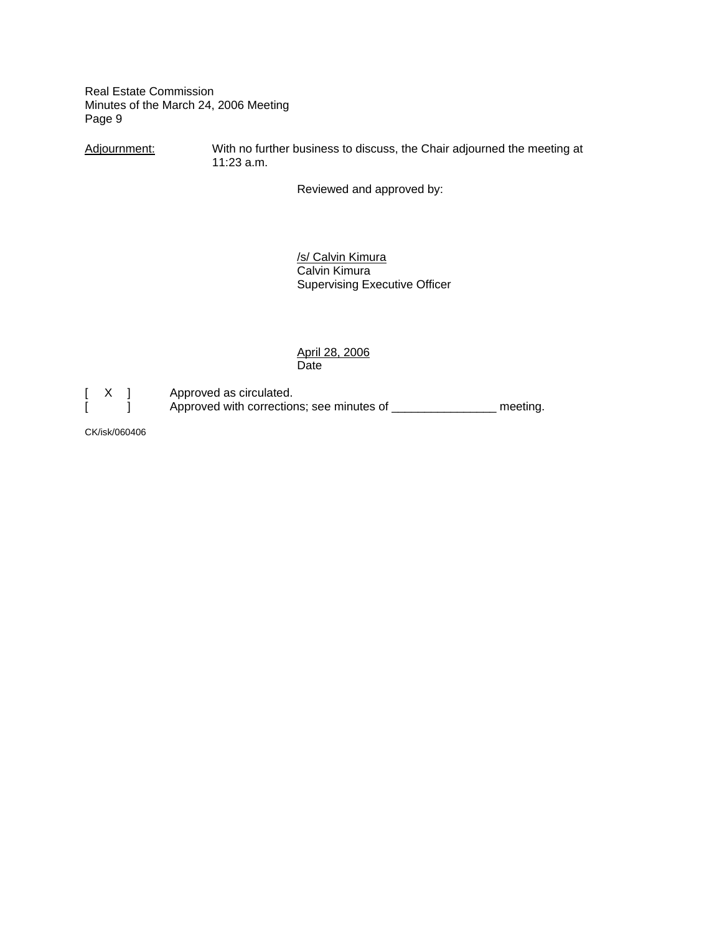Adjournment: With no further business to discuss, the Chair adjourned the meeting at 11:23 a.m.

Reviewed and approved by:

 /s/ Calvin Kimura Calvin Kimura Supervising Executive Officer

 April 28, 2006 Date

[ X ] Approved as circulated.<br>[ ] Approved with correction Approved with corrections; see minutes of \_\_\_\_\_\_\_\_\_\_\_\_\_\_\_\_\_ meeting.

CK/isk/060406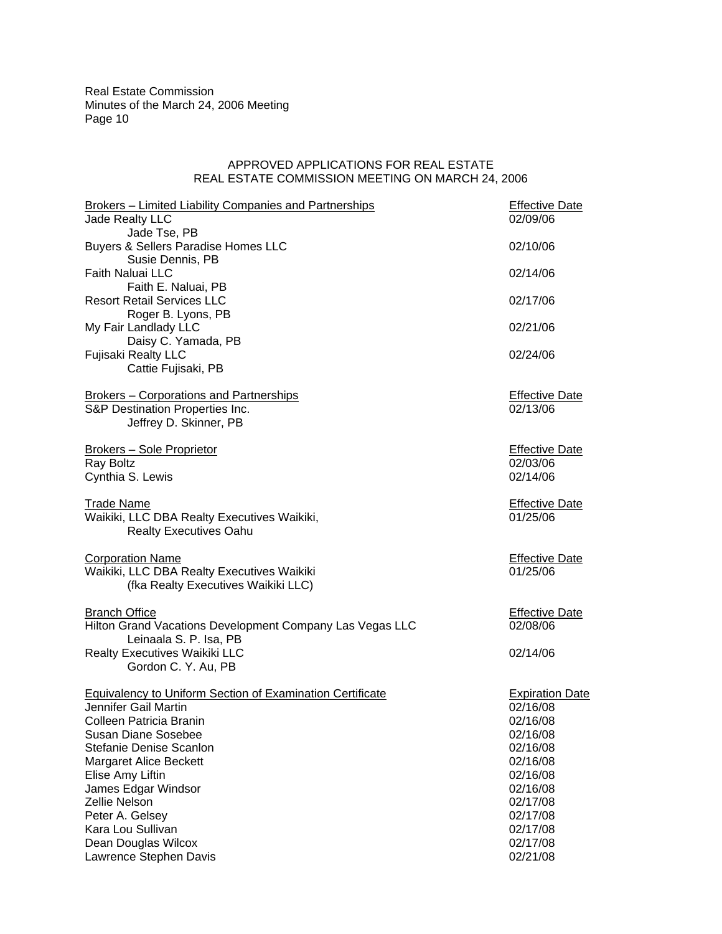### APPROVED APPLICATIONS FOR REAL ESTATE REAL ESTATE COMMISSION MEETING ON MARCH 24, 2006

| Brokers - Limited Liability Companies and Partnerships           | <b>Effective Date</b>  |  |
|------------------------------------------------------------------|------------------------|--|
| Jade Realty LLC                                                  | 02/09/06               |  |
| Jade Tse, PB                                                     |                        |  |
| Buyers & Sellers Paradise Homes LLC                              | 02/10/06               |  |
| Susie Dennis, PB                                                 |                        |  |
| Faith Naluai LLC                                                 | 02/14/06               |  |
| Faith E. Naluai, PB                                              |                        |  |
| <b>Resort Retail Services LLC</b>                                | 02/17/06               |  |
| Roger B. Lyons, PB                                               |                        |  |
| My Fair Landlady LLC                                             | 02/21/06               |  |
| Daisy C. Yamada, PB                                              |                        |  |
| <b>Fujisaki Realty LLC</b>                                       | 02/24/06               |  |
| Cattie Fujisaki, PB                                              |                        |  |
|                                                                  |                        |  |
| <b>Brokers - Corporations and Partnerships</b>                   | <b>Effective Date</b>  |  |
| S&P Destination Properties Inc.                                  | 02/13/06               |  |
| Jeffrey D. Skinner, PB                                           |                        |  |
|                                                                  |                        |  |
| <b>Brokers - Sole Proprietor</b>                                 | <b>Effective Date</b>  |  |
| Ray Boltz                                                        | 02/03/06               |  |
| Cynthia S. Lewis                                                 | 02/14/06               |  |
|                                                                  |                        |  |
| <b>Trade Name</b>                                                | <b>Effective Date</b>  |  |
| Waikiki, LLC DBA Realty Executives Waikiki,                      | 01/25/06               |  |
| <b>Realty Executives Oahu</b>                                    |                        |  |
|                                                                  |                        |  |
| <b>Corporation Name</b>                                          | <b>Effective Date</b>  |  |
| Waikiki, LLC DBA Realty Executives Waikiki                       | 01/25/06               |  |
| (fka Realty Executives Waikiki LLC)                              |                        |  |
|                                                                  |                        |  |
| <b>Branch Office</b>                                             | <b>Effective Date</b>  |  |
| Hilton Grand Vacations Development Company Las Vegas LLC         | 02/08/06               |  |
| Leinaala S. P. Isa, PB                                           |                        |  |
| Realty Executives Waikiki LLC                                    | 02/14/06               |  |
| Gordon C. Y. Au, PB                                              |                        |  |
|                                                                  |                        |  |
| <b>Equivalency to Uniform Section of Examination Certificate</b> | <b>Expiration Date</b> |  |
| Jennifer Gail Martin                                             | 02/16/08               |  |
| Colleen Patricia Branin                                          | 02/16/08               |  |
| <b>Susan Diane Sosebee</b>                                       | 02/16/08               |  |
| Stefanie Denise Scanlon                                          | 02/16/08               |  |
| <b>Margaret Alice Beckett</b>                                    | 02/16/08               |  |
| Elise Amy Liftin                                                 | 02/16/08               |  |
| James Edgar Windsor                                              | 02/16/08               |  |
| Zellie Nelson                                                    | 02/17/08               |  |
| Peter A. Gelsey                                                  | 02/17/08               |  |
| Kara Lou Sullivan                                                | 02/17/08               |  |
| Dean Douglas Wilcox                                              | 02/17/08               |  |
| Lawrence Stephen Davis                                           | 02/21/08               |  |
|                                                                  |                        |  |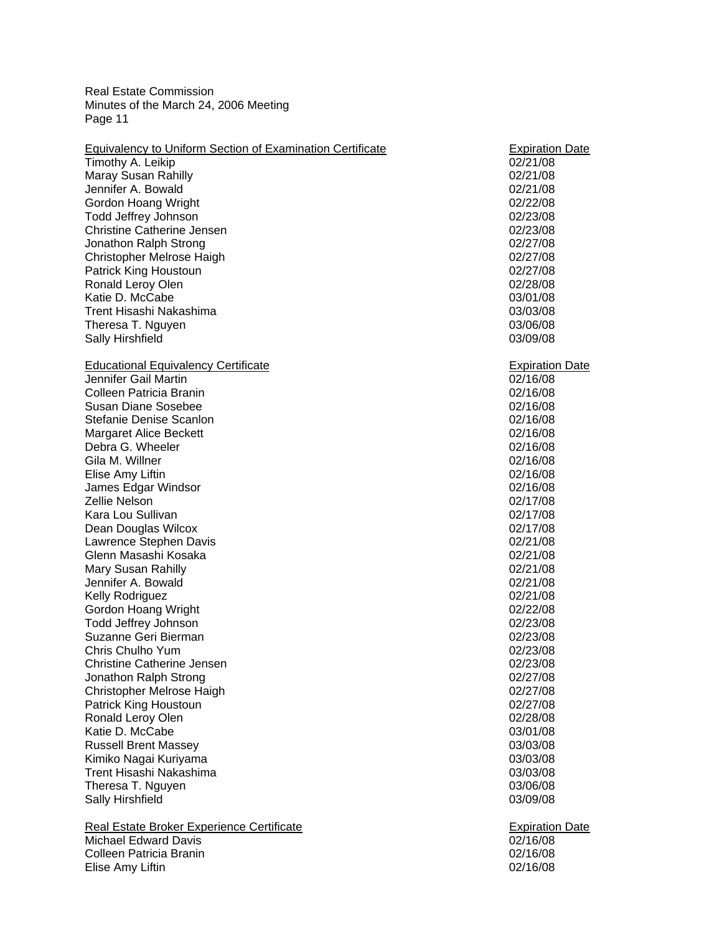| <b>Equivalency to Uniform Section of Examination Certificate</b> | <b>Expiration Date</b> |
|------------------------------------------------------------------|------------------------|
| Timothy A. Leikip                                                | 02/21/08               |
| Maray Susan Rahilly                                              | 02/21/08               |
| Jennifer A. Bowald                                               | 02/21/08               |
| Gordon Hoang Wright                                              | 02/22/08               |
| Todd Jeffrey Johnson                                             | 02/23/08               |
| <b>Christine Catherine Jensen</b>                                | 02/23/08               |
| Jonathon Ralph Strong                                            | 02/27/08               |
| Christopher Melrose Haigh                                        | 02/27/08               |
| Patrick King Houstoun                                            | 02/27/08               |
| Ronald Leroy Olen                                                | 02/28/08               |
| Katie D. McCabe                                                  | 03/01/08               |
| Trent Hisashi Nakashima                                          | 03/03/08               |
| Theresa T. Nguyen                                                | 03/06/08               |
| Sally Hirshfield                                                 | 03/09/08               |
|                                                                  |                        |
| <b>Educational Equivalency Certificate</b>                       | <b>Expiration Date</b> |
| Jennifer Gail Martin                                             | 02/16/08               |
| Colleen Patricia Branin                                          | 02/16/08               |
| <b>Susan Diane Sosebee</b>                                       | 02/16/08               |
| Stefanie Denise Scanlon                                          | 02/16/08               |
| <b>Margaret Alice Beckett</b>                                    | 02/16/08               |
| Debra G. Wheeler                                                 | 02/16/08               |
| Gila M. Willner                                                  | 02/16/08               |
| Elise Amy Liftin                                                 | 02/16/08               |
| James Edgar Windsor                                              | 02/16/08               |
| Zellie Nelson                                                    | 02/17/08               |
| Kara Lou Sullivan                                                |                        |
|                                                                  | 02/17/08               |
| Dean Douglas Wilcox                                              | 02/17/08               |
| Lawrence Stephen Davis                                           | 02/21/08               |
| Glenn Masashi Kosaka                                             | 02/21/08               |
| Mary Susan Rahilly                                               | 02/21/08               |
| Jennifer A. Bowald                                               | 02/21/08               |
| Kelly Rodriguez                                                  | 02/21/08               |
| Gordon Hoang Wright                                              | 02/22/08               |
| Todd Jeffrey Johnson                                             | 02/23/08               |
| Suzanne Geri Bierman                                             | 02/23/08               |
| Chris Chulho Yum                                                 | 02/23/08               |
| <b>Christine Catherine Jensen</b>                                | 02/23/08               |
| Jonathon Ralph Strong                                            | 02/27/08               |
| Christopher Melrose Haigh                                        | 02/27/08               |
| Patrick King Houstoun                                            | 02/27/08               |
| Ronald Leroy Olen                                                | 02/28/08               |
| Katie D. McCabe                                                  | 03/01/08               |
| <b>Russell Brent Massey</b>                                      | 03/03/08               |
| Kimiko Nagai Kuriyama                                            | 03/03/08               |
| Trent Hisashi Nakashima                                          | 03/03/08               |
| Theresa T. Nguyen                                                | 03/06/08               |
| Sally Hirshfield                                                 | 03/09/08               |
| Real Estate Broker Experience Certificate                        | <b>Expiration Date</b> |
| Michael Edward Davis                                             | 02/16/08               |
| Colleen Patricia Branin                                          | 02/16/08               |
| Elise Amy Liftin                                                 | 02/16/08               |